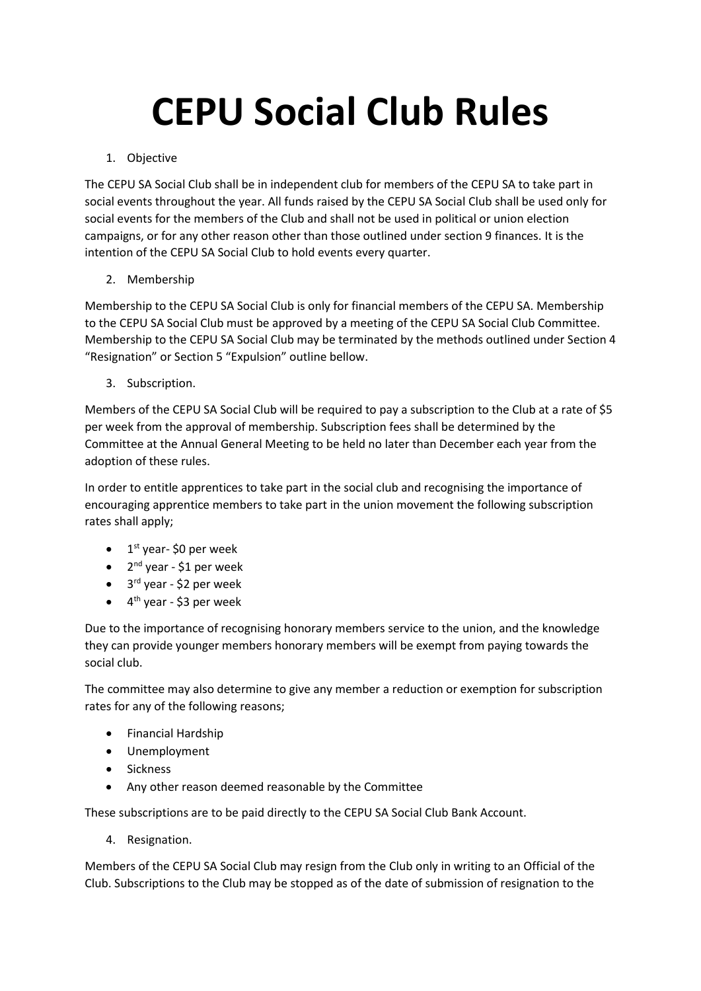## **CEPU Social Club Rules**

## 1. Objective

The CEPU SA Social Club shall be in independent club for members of the CEPU SA to take part in social events throughout the year. All funds raised by the CEPU SA Social Club shall be used only for social events for the members of the Club and shall not be used in political or union election campaigns, or for any other reason other than those outlined under section 9 finances. It is the intention of the CEPU SA Social Club to hold events every quarter.

## 2. Membership

Membership to the CEPU SA Social Club is only for financial members of the CEPU SA. Membership to the CEPU SA Social Club must be approved by a meeting of the CEPU SA Social Club Committee. Membership to the CEPU SA Social Club may be terminated by the methods outlined under Section 4 "Resignation" or Section 5 "Expulsion" outline bellow.

3. Subscription.

Members of the CEPU SA Social Club will be required to pay a subscription to the Club at a rate of \$5 per week from the approval of membership. Subscription fees shall be determined by the Committee at the Annual General Meeting to be held no later than December each year from the adoption of these rules.

In order to entitle apprentices to take part in the social club and recognising the importance of encouraging apprentice members to take part in the union movement the following subscription rates shall apply;

- $\bullet$  1<sup>st</sup> year-\$0 per week
- 2<sup>nd</sup> year \$1 per week
- 3<sup>rd</sup> year \$2 per week
- 4<sup>th</sup> year \$3 per week

Due to the importance of recognising honorary members service to the union, and the knowledge they can provide younger members honorary members will be exempt from paying towards the social club.

The committee may also determine to give any member a reduction or exemption for subscription rates for any of the following reasons;

- Financial Hardship
- Unemployment
- Sickness
- Any other reason deemed reasonable by the Committee

These subscriptions are to be paid directly to the CEPU SA Social Club Bank Account.

4. Resignation.

Members of the CEPU SA Social Club may resign from the Club only in writing to an Official of the Club. Subscriptions to the Club may be stopped as of the date of submission of resignation to the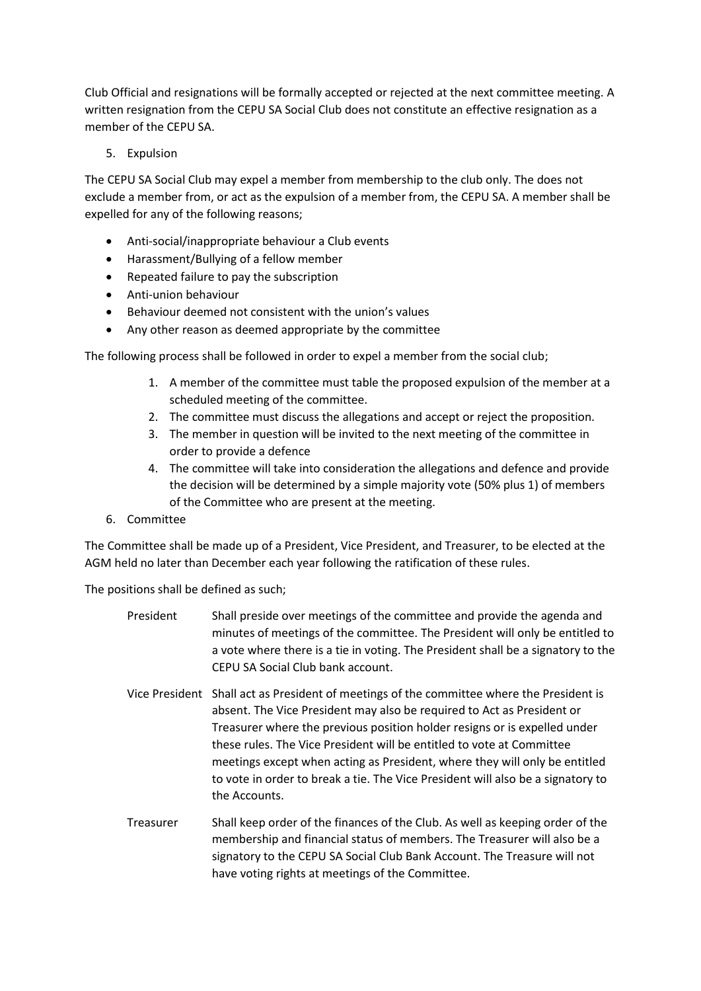Club Official and resignations will be formally accepted or rejected at the next committee meeting. A written resignation from the CEPU SA Social Club does not constitute an effective resignation as a member of the CEPU SA.

5. Expulsion

The CEPU SA Social Club may expel a member from membership to the club only. The does not exclude a member from, or act as the expulsion of a member from, the CEPU SA. A member shall be expelled for any of the following reasons;

- Anti-social/inappropriate behaviour a Club events
- Harassment/Bullying of a fellow member
- Repeated failure to pay the subscription
- Anti-union behaviour
- Behaviour deemed not consistent with the union's values
- Any other reason as deemed appropriate by the committee

The following process shall be followed in order to expel a member from the social club;

- 1. A member of the committee must table the proposed expulsion of the member at a scheduled meeting of the committee.
- 2. The committee must discuss the allegations and accept or reject the proposition.
- 3. The member in question will be invited to the next meeting of the committee in order to provide a defence
- 4. The committee will take into consideration the allegations and defence and provide the decision will be determined by a simple majority vote (50% plus 1) of members of the Committee who are present at the meeting.
- 6. Committee

The Committee shall be made up of a President, Vice President, and Treasurer, to be elected at the AGM held no later than December each year following the ratification of these rules.

The positions shall be defined as such;

- President Shall preside over meetings of the committee and provide the agenda and minutes of meetings of the committee. The President will only be entitled to a vote where there is a tie in voting. The President shall be a signatory to the CEPU SA Social Club bank account.
- Vice President Shall act as President of meetings of the committee where the President is absent. The Vice President may also be required to Act as President or Treasurer where the previous position holder resigns or is expelled under these rules. The Vice President will be entitled to vote at Committee meetings except when acting as President, where they will only be entitled to vote in order to break a tie. The Vice President will also be a signatory to the Accounts.
- Treasurer Shall keep order of the finances of the Club. As well as keeping order of the membership and financial status of members. The Treasurer will also be a signatory to the CEPU SA Social Club Bank Account. The Treasure will not have voting rights at meetings of the Committee.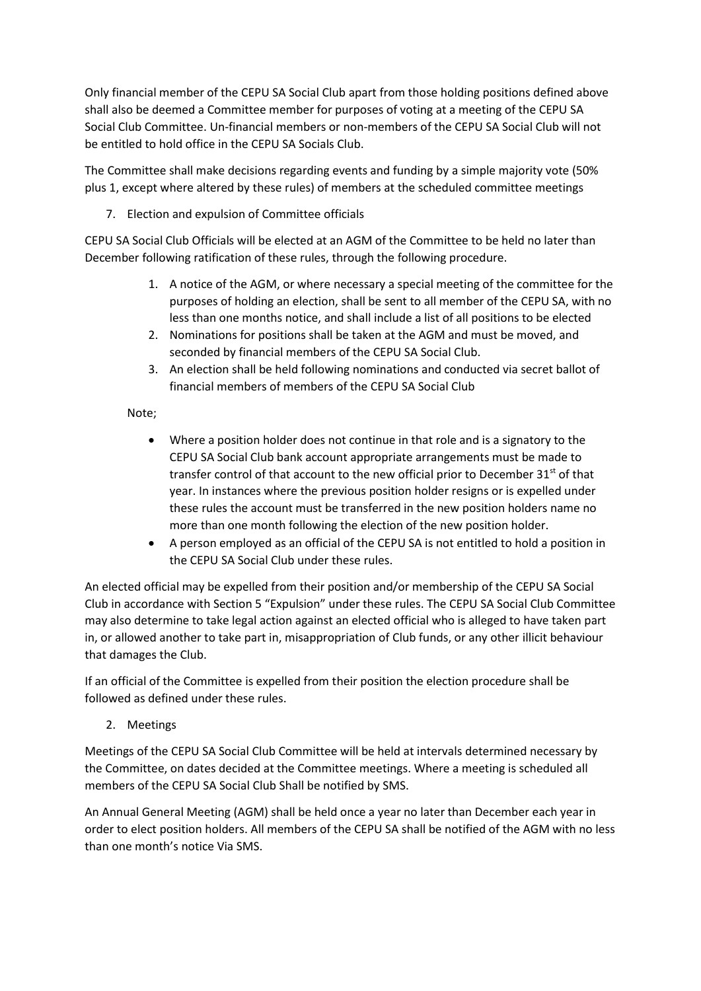Only financial member of the CEPU SA Social Club apart from those holding positions defined above shall also be deemed a Committee member for purposes of voting at a meeting of the CEPU SA Social Club Committee. Un-financial members or non-members of the CEPU SA Social Club will not be entitled to hold office in the CEPU SA Socials Club.

The Committee shall make decisions regarding events and funding by a simple majority vote (50% plus 1, except where altered by these rules) of members at the scheduled committee meetings

7. Election and expulsion of Committee officials

CEPU SA Social Club Officials will be elected at an AGM of the Committee to be held no later than December following ratification of these rules, through the following procedure.

- 1. A notice of the AGM, or where necessary a special meeting of the committee for the purposes of holding an election, shall be sent to all member of the CEPU SA, with no less than one months notice, and shall include a list of all positions to be elected
- 2. Nominations for positions shall be taken at the AGM and must be moved, and seconded by financial members of the CEPU SA Social Club.
- 3. An election shall be held following nominations and conducted via secret ballot of financial members of members of the CEPU SA Social Club

## Note;

- Where a position holder does not continue in that role and is a signatory to the CEPU SA Social Club bank account appropriate arrangements must be made to transfer control of that account to the new official prior to December  $31<sup>st</sup>$  of that year. In instances where the previous position holder resigns or is expelled under these rules the account must be transferred in the new position holders name no more than one month following the election of the new position holder.
- A person employed as an official of the CEPU SA is not entitled to hold a position in the CEPU SA Social Club under these rules.

An elected official may be expelled from their position and/or membership of the CEPU SA Social Club in accordance with Section 5 "Expulsion" under these rules. The CEPU SA Social Club Committee may also determine to take legal action against an elected official who is alleged to have taken part in, or allowed another to take part in, misappropriation of Club funds, or any other illicit behaviour that damages the Club.

If an official of the Committee is expelled from their position the election procedure shall be followed as defined under these rules.

2. Meetings

Meetings of the CEPU SA Social Club Committee will be held at intervals determined necessary by the Committee, on dates decided at the Committee meetings. Where a meeting is scheduled all members of the CEPU SA Social Club Shall be notified by SMS.

An Annual General Meeting (AGM) shall be held once a year no later than December each year in order to elect position holders. All members of the CEPU SA shall be notified of the AGM with no less than one month's notice Via SMS.